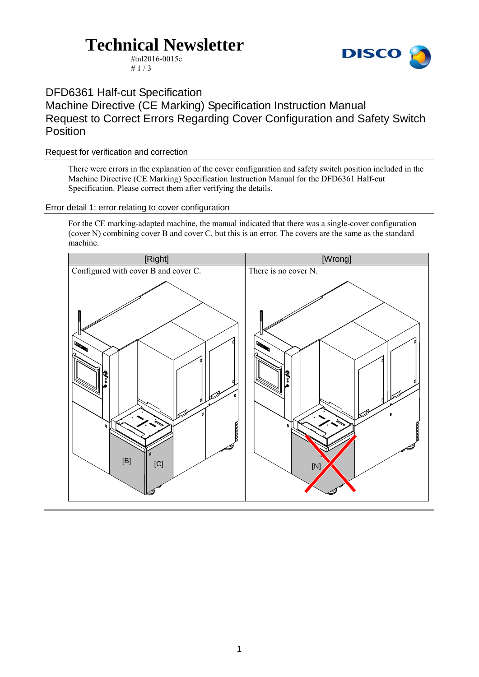# **Technical Newsletter**



#tnl2016-0015e  $# 1 / 3$ 

DFD6361 Half-cut Specification

Machine Directive (CE Marking) Specification Instruction Manual Request to Correct Errors Regarding Cover Configuration and Safety Switch Position

### Request for verification and correction

There were errors in the explanation of the cover configuration and safety switch position included in the Machine Directive (CE Marking) Specification Instruction Manual for the DFD6361 Half-cut Specification. Please correct them after verifying the details.

### Error detail 1: error relating to cover configuration

For the CE marking-adapted machine, the manual indicated that there was a single-cover configuration (cover N) combining cover B and cover C, but this is an error. The covers are the same as the standard machine.

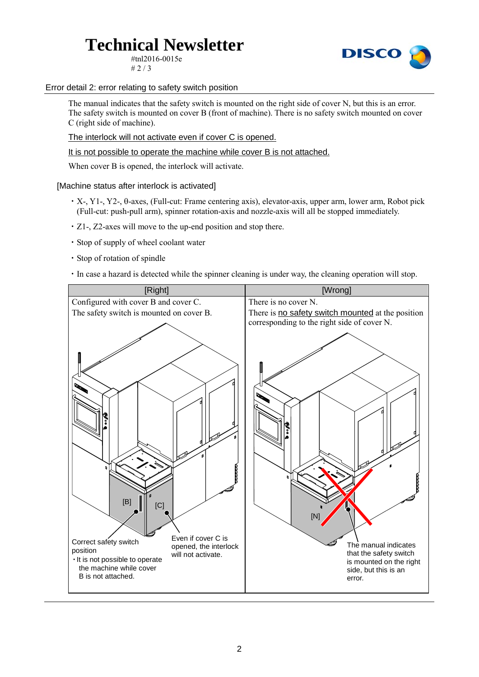# **Technical Newsletter**

#tnl2016-0015e  $# 2 / 3$ 



Error detail 2: error relating to safety switch position

The manual indicates that the safety switch is mounted on the right side of cover N, but this is an error. The safety switch is mounted on cover B (front of machine). There is no safety switch mounted on cover C (right side of machine).

The interlock will not activate even if cover C is opened.

It is not possible to operate the machine while cover B is not attached.

When cover B is opened, the interlock will activate.

[Machine status after interlock is activated]

- ・X-, Y1-, Y2-, θ-axes, (Full-cut: Frame centering axis), elevator-axis, upper arm, lower arm, Robot pick (Full-cut: push-pull arm), spinner rotation-axis and nozzle-axis will all be stopped immediately.
- ・Z1-, Z2-axes will move to the up-end position and stop there.
- ・Stop of supply of wheel coolant water
- ・Stop of rotation of spindle
- ・In case a hazard is detected while the spinner cleaning is under way, the cleaning operation will stop.

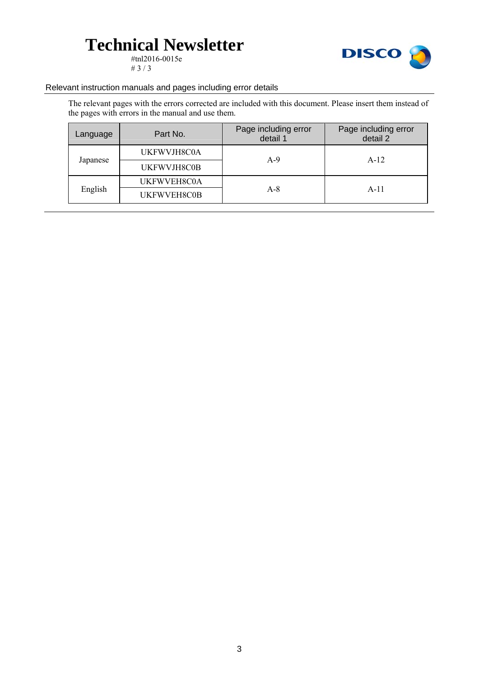# **Technical Newsletter**

#tnl2016-0015e # 3  $/$  3



#### Relevant instruction manuals and pages including error details

The relevant pages with the errors corrected are included with this document. Please insert them instead of the pages with errors in the manual and use them.

| Language | Part No.    | Page including error<br>detail 1 | Page including error<br>detail 2 |
|----------|-------------|----------------------------------|----------------------------------|
| Japanese | UKFWVJH8C0A | $A-9$                            | $A-12$                           |
|          | UKFWVJH8C0B |                                  |                                  |
| English  | UKFWVEH8C0A | $A-8$                            | $A-11$                           |
|          | UKFWVEH8C0B |                                  |                                  |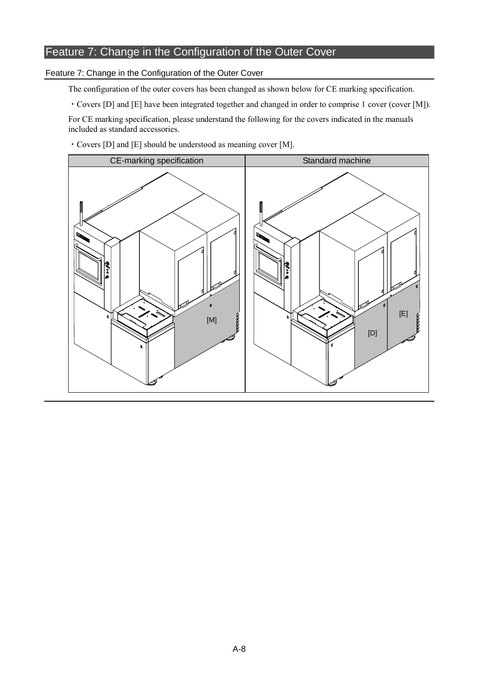### Feature 7: Change in the Configuration of the Outer Cover

#### Feature 7: Change in the Configuration of the Outer Cover

The configuration of the outer covers has been changed as shown below for CE marking specification.

・Covers [D] and [E] have been integrated together and changed in order to comprise 1 cover (cover [M]).

For CE marking specification, please understand the following for the covers indicated in the manuals included as standard accessories.

・Covers [D] and [E] should be understood as meaning cover [M].